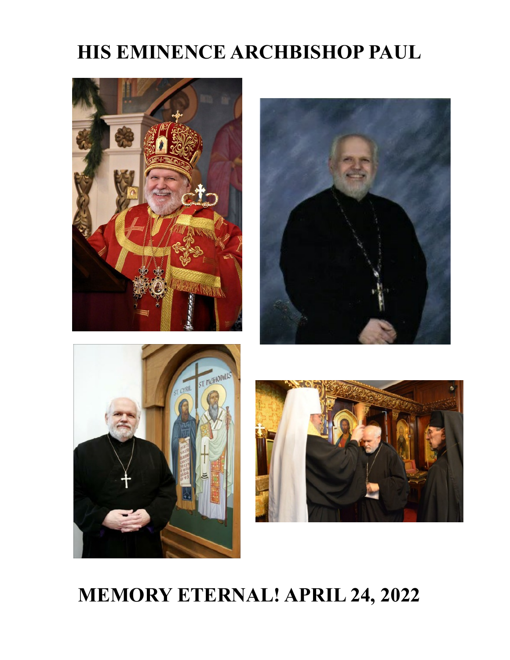# **HIS EMINENCE ARCHBISHOP PAUL**



# **MEMORY ETERNAL! APRIL 24, 2022**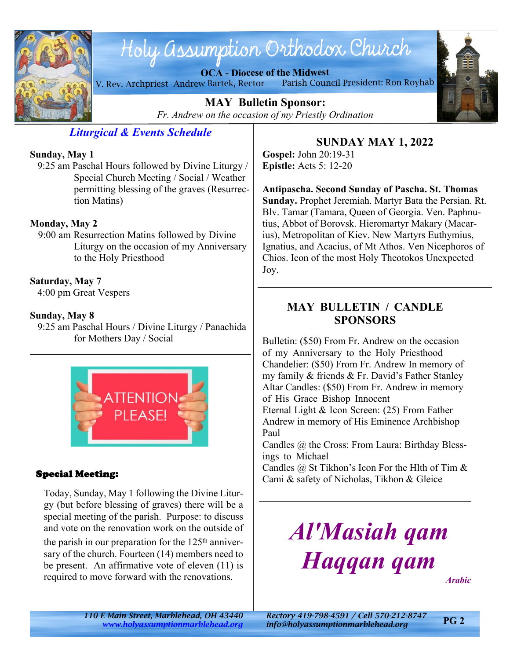

# Holy assumption Orthodox Church

**OCA - Diocese of the Midwest**

V. Rev. Archpriest Andrew Bartek, Rector Parish Council President: Ron Royhab



**MAY Bulletin Sponsor:** *Fr. Andrew on the occasion of my Priestly Ordination*

# *Liturgical & Events Schedule*

#### **Sunday, May 1**

 9:25 am Paschal Hours followed by Divine Liturgy / Special Church Meeting / Social / Weather permitting blessing of the graves (Resurrection Matins)

#### **Monday, May 2**

 9:00 am Resurrection Matins followed by Divine Liturgy on the occasion of my Anniversary to the Holy Priesthood

#### **Saturday, May 7**

4:00 pm Great Vespers

#### **Sunday, May 8**

 9:25 am Paschal Hours / Divine Liturgy / Panachida for Mothers Day / Social



#### **Special Meeting:**

Today, Sunday, May 1 following the Divine Liturgy (but before blessing of graves) there will be a special meeting of the parish. Purpose: to discuss and vote on the renovation work on the outside of

the parish in our preparation for the  $125<sup>th</sup>$  anniversary of the church. Fourteen (14) members need to be present. An affirmative vote of eleven (11) is required to move forward with the renovations.

# **SUNDAY MAY 1, 2022**

**Gospel:** John 20:19-31 **Epistle:** Acts 5: 12-20

**Antipascha. Second Sunday of Pascha. St. Thomas Sunday.** Prophet Jeremiah. Martyr Bata the Persian. Rt. Blv. Tamar (Tamara, Queen of Georgia. Ven. Paphnutius, Abbot of Borovsk. Hieromartyr Makary (Macarius), Metropolitan of Kiev. New Martyrs Euthymius, Ignatius, and Acacius, of Mt Athos. Ven Nicephoros of Chios. Icon of the most Holy Theotokos Unexpected Joy.

# **MAY BULLETIN / CANDLE SPONSORS**

Bulletin: (\$50) From Fr. Andrew on the occasion of my Anniversary to the Holy Priesthood Chandelier: (\$50) From Fr. Andrew In memory of my family & friends & Fr. David's Father Stanley Altar Candles: (\$50) From Fr. Andrew in memory of His Grace Bishop Innocent Eternal Light & Icon Screen: (25) From Father

Andrew in memory of His Eminence Archbishop Paul

Candles @ the Cross: From Laura: Birthday Blessings to Michael

Candles @ St Tikhon's Icon For the Hlth of Tim & Cami & safety of Nicholas, Tikhon & Gleice

# *Al'Masiah qam Haqqan qam*

*Arabic*

*110 E Main Street, Marblehead, OH 43440 Rectory 419-798-4591 / Cell 570-212-8747 <www.holyassumptionmarblehead.org> info@holyassumptionmarblehead.org*

**PG 2**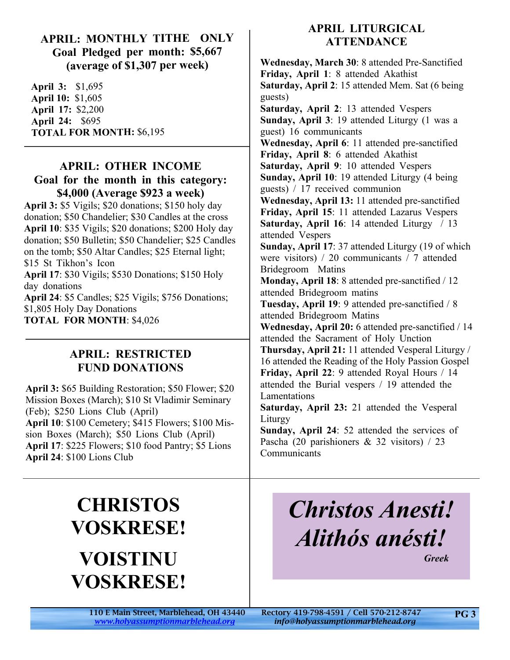### **APRIL: MONTHLY TITHE ONLY Goal Pledged per month: \$5,667 (average of \$1,307 per week)**

**April 3:** \$1,695 **April 10:** \$1,605 **April 17:** \$2,200 **April 24:** \$695 **TOTAL FOR MONTH:** \$6,195

# **APRIL: OTHER INCOME Goal for the month in this category:**

**\$4,000 (Average \$923 a week) April 3:** \$5 Vigils; \$20 donations; \$150 holy day donation; \$50 Chandelier; \$30 Candles at the cross **April 10**: \$35 Vigils; \$20 donations; \$200 Holy day donation; \$50 Bulletin; \$50 Chandelier; \$25 Candles on the tomb; \$50 Altar Candles; \$25 Eternal light; \$15 St Tikhon's Icon **April 17**: \$30 Vigils; \$530 Donations; \$150 Holy day donations **April 24**: \$5 Candles; \$25 Vigils; \$756 Donations;

\$1,805 Holy Day Donations **TOTAL FOR MONTH**: \$4,026

# **APRIL: RESTRICTED FUND DONATIONS**

**April 3:** \$65 Building Restoration; \$50 Flower; \$20 Mission Boxes (March); \$10 St Vladimir Seminary (Feb); \$250 Lions Club (April) **April 10**: \$100 Cemetery; \$415 Flowers; \$100 Mission Boxes (March); \$50 Lions Club (April) **April 17**: \$225 Flowers; \$10 food Pantry; \$5 Lions **April 24**: \$100 Lions Club

# **APRIL LITURGICAL ATTENDANCE**

**Wednesday, March 30**: 8 attended Pre-Sanctified **Friday, April 1**: 8 attended Akathist **Saturday, April 2**: 15 attended Mem. Sat (6 being guests) **Saturday, April 2**: 13 attended Vespers **Sunday, April 3**: 19 attended Liturgy (1 was a guest) 16 communicants **Wednesday, April 6**: 11 attended pre-sanctified **Friday, April 8**: 6 attended Akathist **Saturday, April 9**: 10 attended Vespers **Sunday, April 10**: 19 attended Liturgy (4 being guests) / 17 received communion **Wednesday, April 13:** 11 attended pre-sanctified **Friday, April 15**: 11 attended Lazarus Vespers **Saturday, April 16**: 14 attended Liturgy / 13 attended Vespers **Sunday, April 17**: 37 attended Liturgy (19 of which were visitors) / 20 communicants / 7 attended Bridegroom Matins **Monday, April 18**: 8 attended pre-sanctified / 12 attended Bridegroom matins **Tuesday, April 19**: 9 attended pre-sanctified / 8 attended Bridegroom Matins **Wednesday, April 20:** 6 attended pre-sanctified / 14 attended the Sacrament of Holy Unction **Thursday, April 21:** 11 attended Vesperal Liturgy / 16 attended the Reading of the Holy Passion Gospel **Friday, April 22**: 9 attended Royal Hours / 14 attended the Burial vespers / 19 attended the Lamentations **Saturday, April 23:** 21 attended the Vesperal Liturgy **Sunday, April 24**: 52 attended the services of Pascha (20 parishioners & 32 visitors) / 23 Communicants

# **CHRISTOS VOSKRESE! VOISTINU VOSKRESE!**

# *Christos Anesti! Alithós anésti!*

 *Greek*

110 E Main Street, Marblehead, OH 43440 Rectory 419-798-4591 / Cell 570-212-8747 *<www.holyassumptionmarblehead.org> info@holyassumptionmarblehead.org*

**PG 3**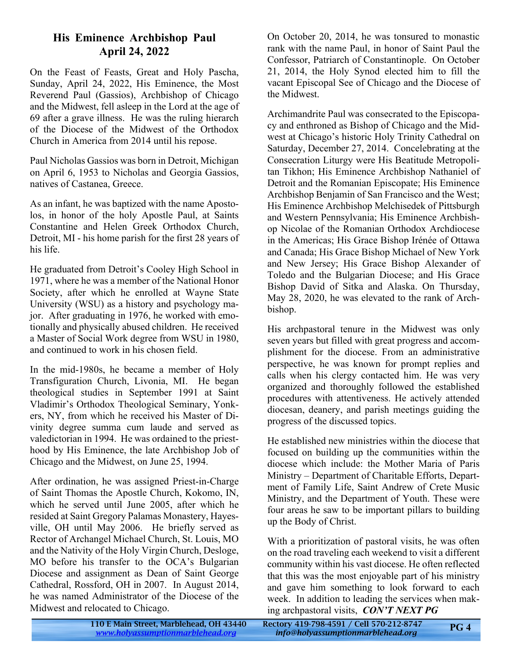# **His Eminence Archbishop Paul April 24, 2022**

On the Feast of Feasts, Great and Holy Pascha, Sunday, April 24, 2022, His Eminence, the Most Reverend Paul (Gassios), Archbishop of Chicago and the Midwest, fell asleep in the Lord at the age of 69 after a grave illness. He was the ruling hierarch of the Diocese of the Midwest of the Orthodox Church in America from 2014 until his repose.

Paul Nicholas Gassios was born in Detroit, Michigan on April 6, 1953 to Nicholas and Georgia Gassios, natives of Castanea, Greece.

As an infant, he was baptized with the name Apostolos, in honor of the holy Apostle Paul, at Saints Constantine and Helen Greek Orthodox Church, Detroit, MI - his home parish for the first 28 years of his life.

He graduated from Detroit's Cooley High School in 1971, where he was a member of the National Honor Society, after which he enrolled at Wayne State University (WSU) as a history and psychology major. After graduating in 1976, he worked with emotionally and physically abused children. He received a Master of Social Work degree from WSU in 1980, and continued to work in his chosen field.

In the mid-1980s, he became a member of Holy Transfiguration Church, Livonia, MI. He began theological studies in September 1991 at Saint Vladimir's Orthodox Theological Seminary, Yonkers, NY, from which he received his Master of Divinity degree summa cum laude and served as valedictorian in 1994. He was ordained to the priesthood by His Eminence, the late Archbishop Job of Chicago and the Midwest, on June 25, 1994.

After ordination, he was assigned Priest-in-Charge of Saint Thomas the Apostle Church, Kokomo, IN, which he served until June 2005, after which he resided at Saint Gregory Palamas Monastery, Hayesville, OH until May 2006. He briefly served as Rector of Archangel Michael Church, St. Louis, MO and the Nativity of the Holy Virgin Church, Desloge, MO before his transfer to the OCA's Bulgarian Diocese and assignment as Dean of Saint George Cathedral, Rossford, OH in 2007. In August 2014, he was named Administrator of the Diocese of the Midwest and relocated to Chicago.

On October 20, 2014, he was tonsured to monastic rank with the name Paul, in honor of Saint Paul the Confessor, Patriarch of Constantinople. On October 21, 2014, the Holy Synod elected him to fill the vacant Episcopal See of Chicago and the Diocese of the Midwest.

Archimandrite Paul was consecrated to the Episcopacy and enthroned as Bishop of Chicago and the Midwest at Chicago's historic Holy Trinity Cathedral on Saturday, December 27, 2014. Concelebrating at the Consecration Liturgy were His Beatitude Metropolitan Tikhon; His Eminence Archbishop Nathaniel of Detroit and the Romanian Episcopate; His Eminence Archbishop Benjamin of San Francisco and the West; His Eminence Archbishop Melchisedek of Pittsburgh and Western Pennsylvania; His Eminence Archbishop Nicolae of the Romanian Orthodox Archdiocese in the Americas; His Grace Bishop Irénée of Ottawa and Canada; His Grace Bishop Michael of New York and New Jersey; His Grace Bishop Alexander of Toledo and the Bulgarian Diocese; and His Grace Bishop David of Sitka and Alaska. On Thursday, May 28, 2020, he was elevated to the rank of Archbishop.

His archpastoral tenure in the Midwest was only seven years but filled with great progress and accomplishment for the diocese. From an administrative perspective, he was known for prompt replies and calls when his clergy contacted him. He was very organized and thoroughly followed the established procedures with attentiveness. He actively attended diocesan, deanery, and parish meetings guiding the progress of the discussed topics.

He established new ministries within the diocese that focused on building up the communities within the diocese which include: the Mother Maria of Paris Ministry – Department of Charitable Efforts, Department of Family Life, Saint Andrew of Crete Music Ministry, and the Department of Youth. These were four areas he saw to be important pillars to building up the Body of Christ.

With a prioritization of pastoral visits, he was often on the road traveling each weekend to visit a different community within his vast diocese. He often reflected that this was the most enjoyable part of his ministry and gave him something to look forward to each week. In addition to leading the services when making archpastoral visits, *CON'T NEXT PG*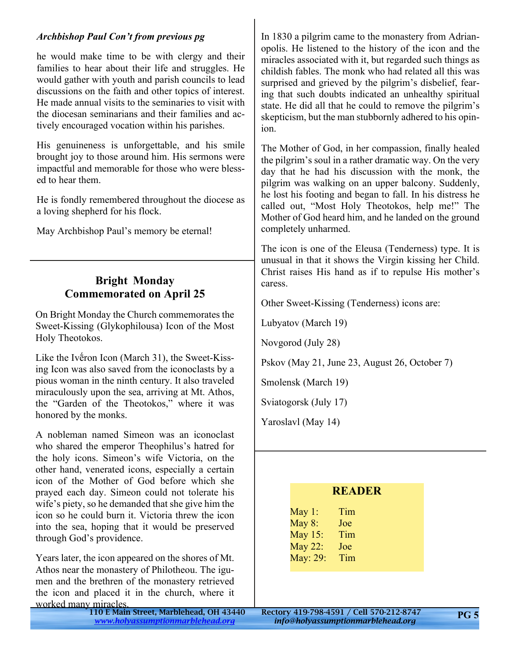#### *Archbishop Paul Con't from previous pg*

he would make time to be with clergy and their families to hear about their life and struggles. He would gather with youth and parish councils to lead discussions on the faith and other topics of interest. He made annual visits to the seminaries to visit with the diocesan seminarians and their families and actively encouraged vocation within his parishes.

His genuineness is unforgettable, and his smile brought joy to those around him. His sermons were impactful and memorable for those who were blessed to hear them.

He is fondly remembered throughout the diocese as a loving shepherd for his flock.

May Archbishop Paul's memory be eternal!

# **Bright Monday Commemorated on April 25**

On Bright Monday the Church commemorates the Sweet-Kissing (Glykophilousa) Icon of the Most Holy Theotokos.

Like the Ivḗron Icon (March 31), the Sweet-Kissing Icon was also saved from the iconoclasts by a pious woman in the ninth century. It also traveled miraculously upon the sea, arriving at Mt. Athos, the "Garden of the Theotokos," where it was honored by the monks.

A nobleman named Simeon was an iconoclast who shared the emperor Theophilus's hatred for the holy icons. Simeon's wife Victoria, on the other hand, venerated icons, especially a certain icon of the Mother of God before which she prayed each day. Simeon could not tolerate his wife's piety, so he demanded that she give him the icon so he could burn it. Victoria threw the icon into the sea, hoping that it would be preserved through God's providence.

Years later, the icon appeared on the shores of Mt. Athos near the monastery of Philotheou. The igumen and the brethren of the monastery retrieved the icon and placed it in the church, where it worked many miracles.

In 1830 a pilgrim came to the monastery from Adrianopolis. He listened to the history of the icon and the miracles associated with it, but regarded such things as childish fables. The monk who had related all this was surprised and grieved by the pilgrim's disbelief, fearing that such doubts indicated an unhealthy spiritual state. He did all that he could to remove the pilgrim's skepticism, but the man stubbornly adhered to his opinion.

The Mother of God, in her compassion, finally healed the pilgrim's soul in a rather dramatic way. On the very day that he had his discussion with the monk, the pilgrim was walking on an upper balcony. Suddenly, he lost his footing and began to fall. In his distress he called out, "Most Holy Theotokos, help me!" The Mother of God heard him, and he landed on the ground completely unharmed.

The icon is one of the Eleusa (Tenderness) type. It is unusual in that it shows the Virgin kissing her Child. Christ raises His hand as if to repulse His mother's caress.

Other Sweet-Kissing (Tenderness) icons are:

Lubyatov (March 19)

Novgorod (July 28)

Pskov (May 21, June 23, August 26, October 7)

Smolensk (March 19)

Sviatogorsk (July 17)

Yaroslavl (May 14)

| <b>READER</b>  |     |  |
|----------------|-----|--|
| May 1:         | Tim |  |
| May 8:         | Joe |  |
| <b>May 15:</b> | Tim |  |
| May 22:        | Joe |  |
| May: 29:       | Tim |  |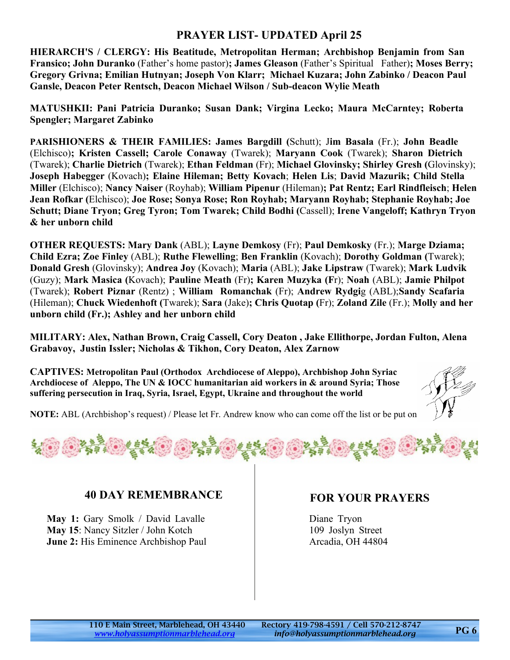# **PRAYER LIST- UPDATED April 25**

**HIERARCH'S / CLERGY: His Beatitude, Metropolitan Herman; Archbishop Benjamin from San Fransico; John Duranko** (Father's home pastor)**; James Gleason** (Father's Spiritual Father)**; Moses Berry; Gregory Grivna; Emilian Hutnyan; Joseph Von Klarr; Michael Kuzara; John Zabinko / Deacon Paul Gansle, Deacon Peter Rentsch, Deacon Michael Wilson / Sub-deacon Wylie Meath**

**MATUSHKII: Pani Patricia Duranko; Susan Dank; Virgina Lecko; Maura McCarntey; Roberta Spengler; Margaret Zabinko**

**PARISHIONERS & THEIR FAMILIES: James Bargdill (**Schutt); J**im Basala** (Fr.); **John Beadle** (Elchisco)**; Kristen Cassell; Carole Conaway** (Twarek); **Maryann Cook** (Twarek); **Sharon Dietrich** (Twarek); **Charlie Dietrich** (Twarek); **Ethan Feldman** (Fr); **Michael Glovinsky; Shirley Gresh (**Glovinsky); **Joseph Habegger** (Kovach)**; Elaine Hileman; Betty Kovach**; **Helen Lis**; **David Mazurik; Child Stella Miller** (Elchisco); **Nancy Naiser** (Royhab); **William Pipenur** (Hileman)**; Pat Rentz; Earl Rindfleisch**; **Helen Jean Rofkar (**Elchisco); **Joe Rose; Sonya Rose; Ron Royhab; Maryann Royhab; Stephanie Royhab; Joe Schutt; Diane Tryon; Greg Tyron; Tom Twarek; Child Bodhi (**Cassell); **Irene Vangeloff; Kathryn Tryon & her unborn child**

**OTHER REQUESTS: Mary Dank** (ABL); **Layne Demkosy** (Fr); **Paul Demkosky** (Fr.); **Marge Dziama; Child Ezra; Zoe Finley** (ABL); **Ruthe Flewelling**; **Ben Franklin** (Kovach); **Dorothy Goldman (**Twarek); **Donald Gresh** (Glovinsky); **Andrea Joy** (Kovach); **Maria** (ABL); **Jake Lipstraw** (Twarek); **Mark Ludvik** (Guzy); **Mark Masica (**Kovach); **Pauline Meath** (Fr)**; Karen Muzyka (F**r); **Noah** (ABL); **Jamie Philpot** (Twarek); **Robert Piznar** (Rentz) ; **William Romanchak** (Fr); **Andrew Rydgi**g (ABL);**Sandy Scafaria** (Hileman); **Chuck Wiedenhoft (**Twarek); **Sara** (Jake)**; Chris Quotap (**Fr); **Zoland Zile** (Fr.); **Molly and her unborn child (Fr.); Ashley and her unborn child**

**MILITARY: Alex, Nathan Brown, Craig Cassell, Cory Deaton , Jake Ellithorpe, Jordan Fulton, Alena Grabavoy, Justin Issler; Nicholas & Tikhon, Cory Deaton, Alex Zarnow**

**CAPTIVES: Metropolitan Paul (Orthodox Archdiocese of Aleppo), Archbishop John Syriac Archdiocese of Aleppo, The UN & IOCC humanitarian aid workers in & around Syria; Those suffering persecution in Iraq, Syria, Israel, Egypt, Ukraine and throughout the world**



**NOTE:** ABL (Archbishop's request) / Please let Fr. Andrew know who can come off the list or be put on.



#### **40 DAY REMEMBRANCE**

**May 1:** Gary Smolk / David Lavalle **May 15**: Nancy Sitzler / John Kotch **June 2:** His Eminence Archbishop Paul

#### **FOR YOUR PRAYERS**

Diane Tryon 109 Joslyn Street Arcadia, OH 44804

**PG 6**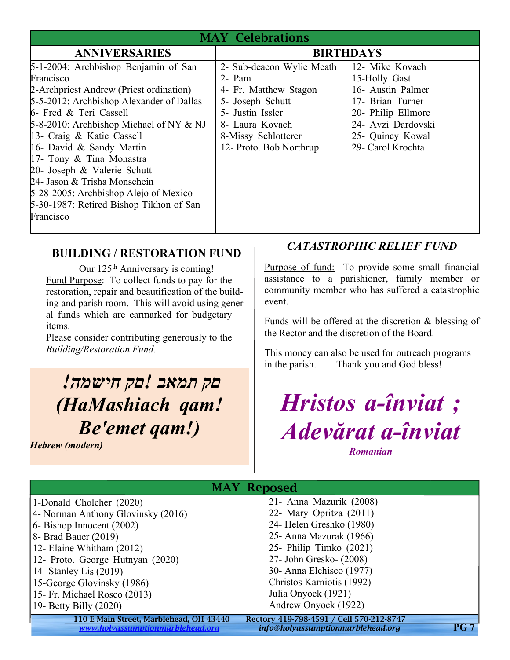| <b>MAY Celebrations</b>                                                                                                                                                                                                                                                                                                                                                                                                                                               |                                                                                                                                                                                           |                                                                                                                                             |  |  |
|-----------------------------------------------------------------------------------------------------------------------------------------------------------------------------------------------------------------------------------------------------------------------------------------------------------------------------------------------------------------------------------------------------------------------------------------------------------------------|-------------------------------------------------------------------------------------------------------------------------------------------------------------------------------------------|---------------------------------------------------------------------------------------------------------------------------------------------|--|--|
| <b>ANNIVERSARIES</b>                                                                                                                                                                                                                                                                                                                                                                                                                                                  | <b>BIRTHDAYS</b>                                                                                                                                                                          |                                                                                                                                             |  |  |
| 5-1-2004: Archbishop Benjamin of San<br>Francisco<br>2-Archpriest Andrew (Priest ordination)<br>5-5-2012: Archbishop Alexander of Dallas<br>6- Fred & Teri Cassell<br>$5-8-2010$ : Archbishop Michael of NY & NJ<br>13- Craig & Katie Cassell<br>16- David & Sandy Martin<br>17- Tony & Tina Monastra<br>20- Joseph & Valerie Schutt<br>24- Jason & Trisha Monschein<br>5-28-2005: Archbishop Alejo of Mexico<br>5-30-1987: Retired Bishop Tikhon of San<br>Francisco | 2- Sub-deacon Wylie Meath 12- Mike Kovach<br>2- Pam<br>4- Fr. Matthew Stagon<br>5- Joseph Schutt<br>5- Justin Issler<br>8- Laura Kovach<br>8-Missy Schlotterer<br>12- Proto. Bob Northrup | 15-Holly Gast<br>16- Austin Palmer<br>17- Brian Turner<br>20- Philip Ellmore<br>24- Avzi Dardovski<br>25- Quincy Kowal<br>29- Carol Krochta |  |  |

# **BUILDING / RESTORATION FUND**

Our 125<sup>th</sup> Anniversary is coming! Fund Purpose: To collect funds to pay for the restoration, repair and beautification of the building and parish room. This will avoid using general funds which are earmarked for budgetary items.

Please consider contributing generously to the *Building/Restoration Fund*.

# *םק תמאב !םק חישמה! (HaMashiach qam! Be'emet qam!)*

*Hebrew (modern)*

# *CATASTROPHIC RELIEF FUND*

Purpose of fund: To provide some small financial assistance to a parishioner, family member or community member who has suffered a catastrophic event.

Funds will be offered at the discretion & blessing of the Rector and the discretion of the Board.

This money can also be used for outreach programs in the parish. Thank you and God bless!

*Hristos a-înviat ; Adevărat a-înviat*

*Romanian*

| <b>MAY Reposed</b>                      |                                          |      |  |  |
|-----------------------------------------|------------------------------------------|------|--|--|
| 1-Donald Cholcher (2020)                | 21- Anna Mazurik (2008)                  |      |  |  |
| 4- Norman Anthony Glovinsky (2016)      | 22- Mary Opritza (2011)                  |      |  |  |
| 6- Bishop Innocent (2002)               | 24- Helen Greshko (1980)                 |      |  |  |
| 8- Brad Bauer (2019)                    | 25 - Anna Mazurak (1966)                 |      |  |  |
| 12- Elaine Whitham (2012)               | 25- Philip Timko (2021)                  |      |  |  |
| 12- Proto. George Hutnyan (2020)        | 27- John Gresko- (2008)                  |      |  |  |
| 14- Stanley Lis (2019)                  | 30- Anna Elchisco (1977)                 |      |  |  |
| 15-George Glovinsky (1986)              | Christos Karniotis (1992)                |      |  |  |
| 15- Fr. Michael Rosco (2013)            | Julia Onyock (1921)                      |      |  |  |
| 19- Betty Billy $(2020)$                | Andrew Onyock (1922)                     |      |  |  |
| 110 E Main Street, Marblehead, OH 43440 | Rectory 419-798-4591 / Cell 570-212-8747 |      |  |  |
| www.holyassumptionmarblehead.org        | info@holyassumptionmarblehead.org        | PG 7 |  |  |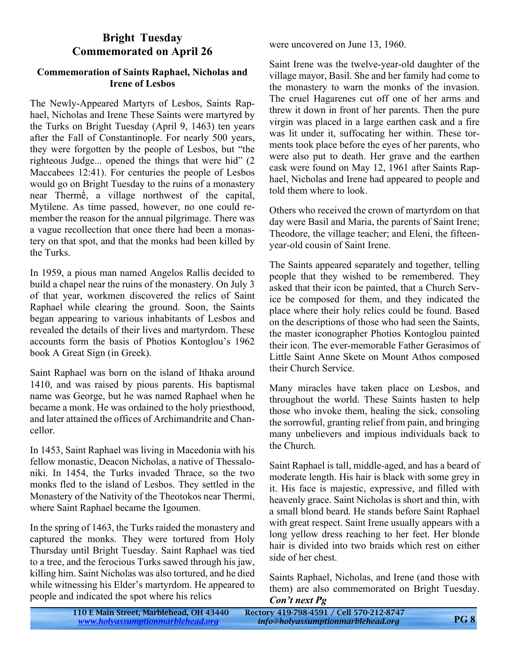### **Bright Tuesday Commemorated on April 26**

#### **Commemoration of Saints Raphael, Nicholas and Irene of Lesbos**

The Newly-Appeared Martyrs of Lesbos, Saints Raphael, Nicholas and Irene These Saints were martyred by the Turks on Bright Tuesday (April 9, 1463) ten years after the Fall of Constantinople. For nearly 500 years, they were forgotten by the people of Lesbos, but "the righteous Judge... opened the things that were hid" (2 Maccabees 12:41). For centuries the people of Lesbos would go on Bright Tuesday to the ruins of a monastery near Thermḗ, a village northwest of the capital, Mytilene. As time passed, however, no one could remember the reason for the annual pilgrimage. There was a vague recollection that once there had been a monastery on that spot, and that the monks had been killed by the Turks.

In 1959, a pious man named Angelos Rallis decided to build a chapel near the ruins of the monastery. On July 3 of that year, workmen discovered the relics of Saint Raphael while clearing the ground. Soon, the Saints began appearing to various inhabitants of Lesbos and revealed the details of their lives and martyrdom. These accounts form the basis of Photios Kontoglou's 1962 book A Great Sign (in Greek).

Saint Raphael was born on the island of Ithaka around 1410, and was raised by pious parents. His baptismal name was George, but he was named Raphael when he became a monk. He was ordained to the holy priesthood, and later attained the offices of Archimandrite and Chancellor.

In 1453, Saint Raphael was living in Macedonia with his fellow monastic, Deacon Nicholas, a native of Thessaloniki. In 1454, the Turks invaded Thrace, so the two monks fled to the island of Lesbos. They settled in the Monastery of the Nativity of the Theotokos near Thermi, where Saint Raphael became the Igoumen.

In the spring of 1463, the Turks raided the monastery and captured the monks. They were tortured from Holy Thursday until Bright Tuesday. Saint Raphael was tied to a tree, and the ferocious Turks sawed through his jaw, killing him. Saint Nicholas was also tortured, and he died while witnessing his Elder's martyrdom. He appeared to people and indicated the spot where his relics

were uncovered on June 13, 1960.

Saint Irene was the twelve-year-old daughter of the village mayor, Basil. She and her family had come to the monastery to warn the monks of the invasion. The cruel Hagarenes cut off one of her arms and threw it down in front of her parents. Then the pure virgin was placed in a large earthen cask and a fire was lit under it, suffocating her within. These torments took place before the eyes of her parents, who were also put to death. Her grave and the earthen cask were found on May 12, 1961 after Saints Raphael, Nicholas and Irene had appeared to people and told them where to look.

Others who received the crown of martyrdom on that day were Basil and Maria, the parents of Saint Irene; Theodore, the village teacher; and Eleni, the fifteenyear-old cousin of Saint Irene.

The Saints appeared separately and together, telling people that they wished to be remembered. They asked that their icon be painted, that a Church Service be composed for them, and they indicated the place where their holy relics could be found. Based on the descriptions of those who had seen the Saints, the master iconographer Photios Kontoglou painted their icon. The ever-memorable Father Gerasimos of Little Saint Anne Skete on Mount Athos composed their Church Service.

Many miracles have taken place on Lesbos, and throughout the world. These Saints hasten to help those who invoke them, healing the sick, consoling the sorrowful, granting relief from pain, and bringing many unbelievers and impious individuals back to the Church.

Saint Raphael is tall, middle-aged, and has a beard of moderate length. His hair is black with some grey in it. His face is majestic, expressive, and filled with heavenly grace. Saint Nicholas is short and thin, with a small blond beard. He stands before Saint Raphael with great respect. Saint Irene usually appears with a long yellow dress reaching to her feet. Her blonde hair is divided into two braids which rest on either side of her chest.

Saints Raphael, Nicholas, and Irene (and those with them) are also commemorated on Bright Tuesday. *Con't next Pg*

| 110 E Main Street, Marblehead, OH 43440 | Rectory 419-798-4591 / Cell 570-212-8747 |            |
|-----------------------------------------|------------------------------------------|------------|
| www.holyassumptionmarblehead.org        | info@holyassumptionmarblehead.org        | <b>PG8</b> |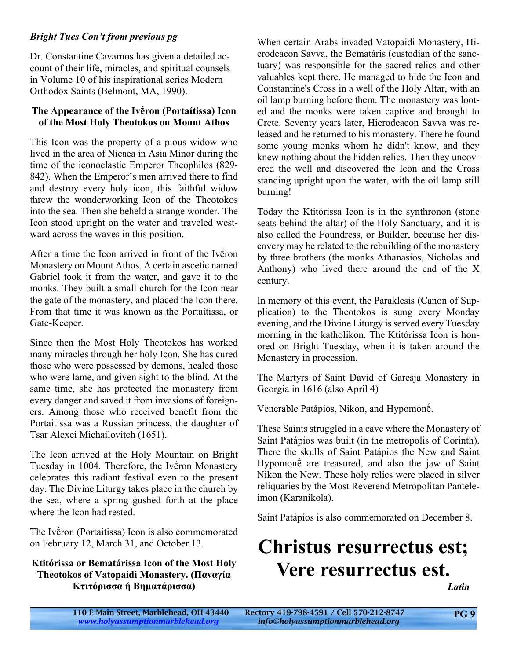#### *Bright Tues Con't from previous pg*

Dr. Constantine Cavarnos has given a detailed account of their life, miracles, and spiritual counsels in Volume 10 of his inspirational series Modern Orthodox Saints (Belmont, MA, 1990).

#### **The Appearance of the Ivḗron (Portaίtissa) Icon of the Most Holy Theotokos on Mount Athos**

This Icon was the property of a pious widow who lived in the area of Nicaea in Asia Minor during the time of the iconoclastic Emperor Theophilos (829- 842). When the Emperor's men arrived there to find and destroy every holy icon, this faithful widow threw the wonderworking Icon of the Theotokos into the sea. Then she beheld a strange wonder. The Icon stood upright on the water and traveled westward across the waves in this position.

After a time the Icon arrived in front of the Ivḗron Monastery on Mount Athos. A certain ascetic named Gabriel took it from the water, and gave it to the monks. They built a small church for the Icon near the gate of the monastery, and placed the Icon there. From that time it was known as the Portaίtissa, or Gate-Keeper.

Since then the Most Holy Theotokos has worked many miracles through her holy Icon. She has cured those who were possessed by demons, healed those who were lame, and given sight to the blind. At the same time, she has protected the monastery from every danger and saved it from invasions of foreigners. Among those who received benefit from the Portaitissa was a Russian princess, the daughter of Tsar Alexei Michailovitch (1651).

The Icon arrived at the Holy Mountain on Bright Tuesday in 1004. Therefore, the Ivḗron Monastery celebrates this radiant festival even to the present day. The Divine Liturgy takes place in the church by the sea, where a spring gushed forth at the place where the Icon had rested.

The Ivḗron (Portaitissa) Icon is also commemorated on February 12, March 31, and October 13.

#### **Ktitórissa or Bematárissa Icon of the Most Holy Theotokos of Vatopaidi Monastery. (Παναγία Κτιτόρισσα ή Βηματάρισσα)**

When certain Arabs invaded Vatopaidi Monastery, Hierodeacon Savva, the Bematáris (custodian of the sanctuary) was responsible for the sacred relics and other valuables kept there. He managed to hide the Icon and Constantine's Cross in a well of the Holy Altar, with an oil lamp burning before them. The monastery was looted and the monks were taken captive and brought to Crete. Seventy years later, Hierodeacon Savva was released and he returned to his monastery. There he found some young monks whom he didn't know, and they knew nothing about the hidden relics. Then they uncovered the well and discovered the Icon and the Cross standing upright upon the water, with the oil lamp still burning!

Today the Ktitórissa Icon is in the synthronon (stone seats behind the altar) of the Holy Sanctuary, and it is also called the Foundress, or Builder, because her discovery may be related to the rebuilding of the monastery by three brothers (the monks Athanasios, Nicholas and Anthony) who lived there around the end of the X century.

In memory of this event, the Paraklesis (Canon of Supplication) to the Theotokos is sung every Monday evening, and the Divine Liturgy is served every Tuesday morning in the katholikon. The Ktitórissa Icon is honored on Bright Tuesday, when it is taken around the Monastery in procession.

The Martyrs of Saint David of Garesja Monastery in Georgia in 1616 (also April 4)

Venerable Patápios, Nikon, and Hypomonḗ.

These Saints struggled in a cave where the Monastery of Saint Patápios was built (in the metropolis of Corinth). There the skulls of Saint Patápios the New and Saint Hypomonḗ are treasured, and also the jaw of Saint Nikon the New. These holy relics were placed in silver reliquaries by the Most Reverend Metropolitan Panteleimon (Karanikola).

Saint Patápios is also commemorated on December 8.

# **Christus resurrectus est; Vere resurrectus est.**

*Latin*